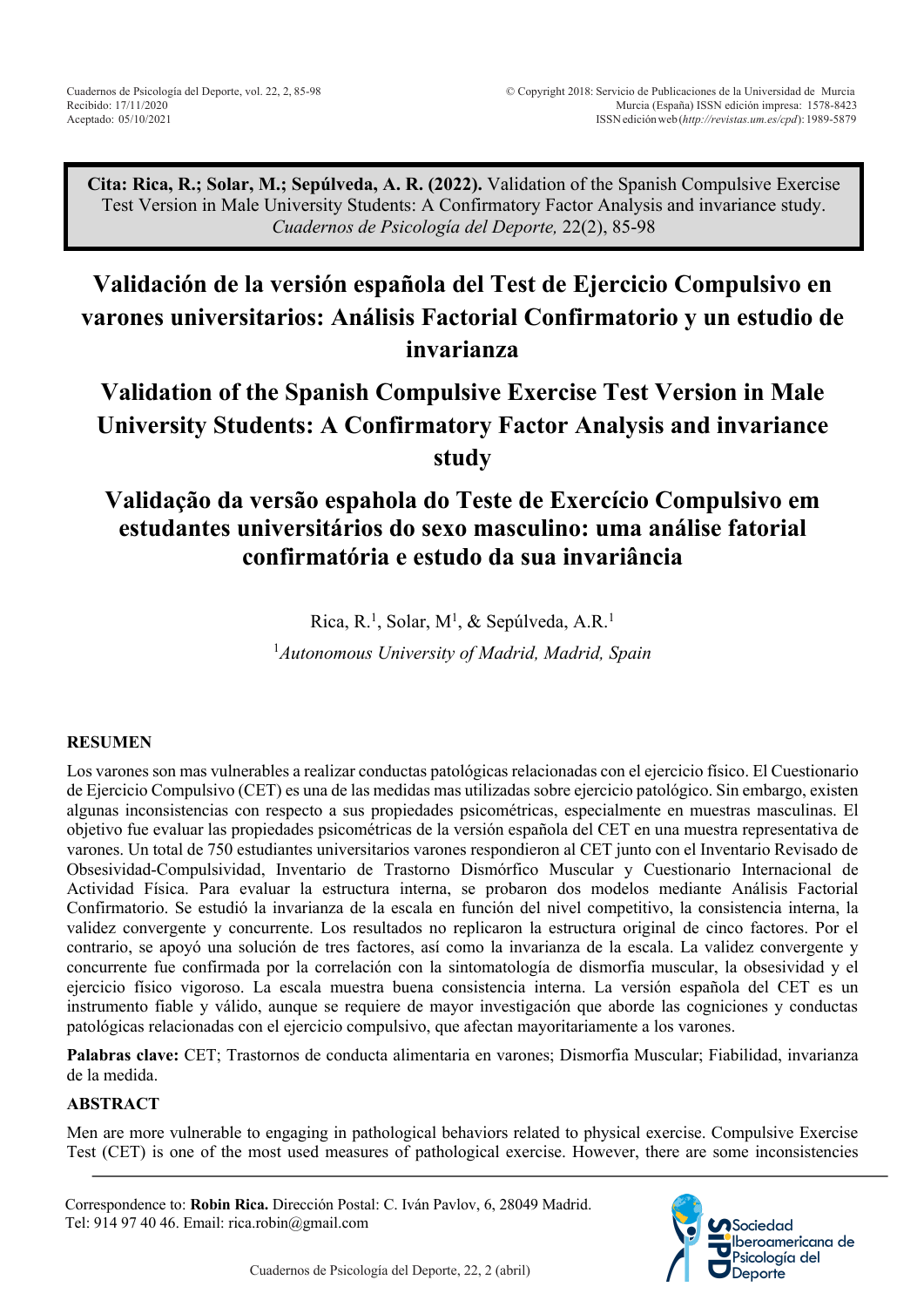**Cita: Rica, R.; Solar, M.; Sepúlveda, A. R. (2022).** Validation of the Spanish Compulsive Exercise Test Version in Male University Students: A Confirmatory Factor Analysis and invariance study. *Cuadernos de Psicología del Deporte,* 22(2), 85-98

# **Validación de la versión española del Test de Ejercicio Compulsivo en varones universitarios: Análisis Factorial Confirmatorio y un estudio de invarianza**

# **Validation of the Spanish Compulsive Exercise Test Version in Male University Students: A Confirmatory Factor Analysis and invariance study**

# **Validação da versão espahola do Teste de Exercício Compulsivo em estudantes universitários do sexo masculino: uma análise fatorial confirmatória e estudo da sua invariância**

Rica, R.<sup>1</sup>, Solar, M<sup>1</sup>, & Sepúlveda, A.R.<sup>1</sup> 1 *Autonomous University of Madrid, Madrid, Spain*

## **RESUMEN**

Los varones son mas vulnerables a realizar conductas patológicas relacionadas con el ejercicio físico. El Cuestionario de Ejercicio Compulsivo (CET) es una de las medidas mas utilizadas sobre ejercicio patológico. Sin embargo, existen algunas inconsistencias con respecto a sus propiedades psicométricas, especialmente en muestras masculinas. El objetivo fue evaluar las propiedades psicométricas de la versión española del CET en una muestra representativa de varones. Un total de 750 estudiantes universitarios varones respondieron al CET junto con el Inventario Revisado de Obsesividad-Compulsividad, Inventario de Trastorno Dismórfico Muscular y Cuestionario Internacional de Actividad Física. Para evaluar la estructura interna, se probaron dos modelos mediante Análisis Factorial Confirmatorio. Se estudió la invarianza de la escala en función del nivel competitivo, la consistencia interna, la validez convergente y concurrente. Los resultados no replicaron la estructura original de cinco factores. Por el contrario, se apoyó una solución de tres factores, así como la invarianza de la escala. La validez convergente y concurrente fue confirmada por la correlación con la sintomatología de dismorfia muscular, la obsesividad y el ejercicio físico vigoroso. La escala muestra buena consistencia interna. La versión española del CET es un instrumento fiable y válido, aunque se requiere de mayor investigación que aborde las cogniciones y conductas patológicas relacionadas con el ejercicio compulsivo, que afectan mayoritariamente a los varones.

**Palabras clave:** CET; Trastornos de conducta alimentaria en varones; Dismorfia Muscular; Fiabilidad, invarianza de la medida.

#### **ABSTRACT**

Men are more vulnerable to engaging in pathological behaviors related to physical exercise. Compulsive Exercise Test (CET) is one of the most used measures of pathological exercise. However, there are some inconsistencies

Correspondence to: **Robin Rica.** Dirección Postal: C. Iván Pavlov, 6, 28049 Madrid. Tel: 914 97 40 46. Email: rica.robin@gmail.com

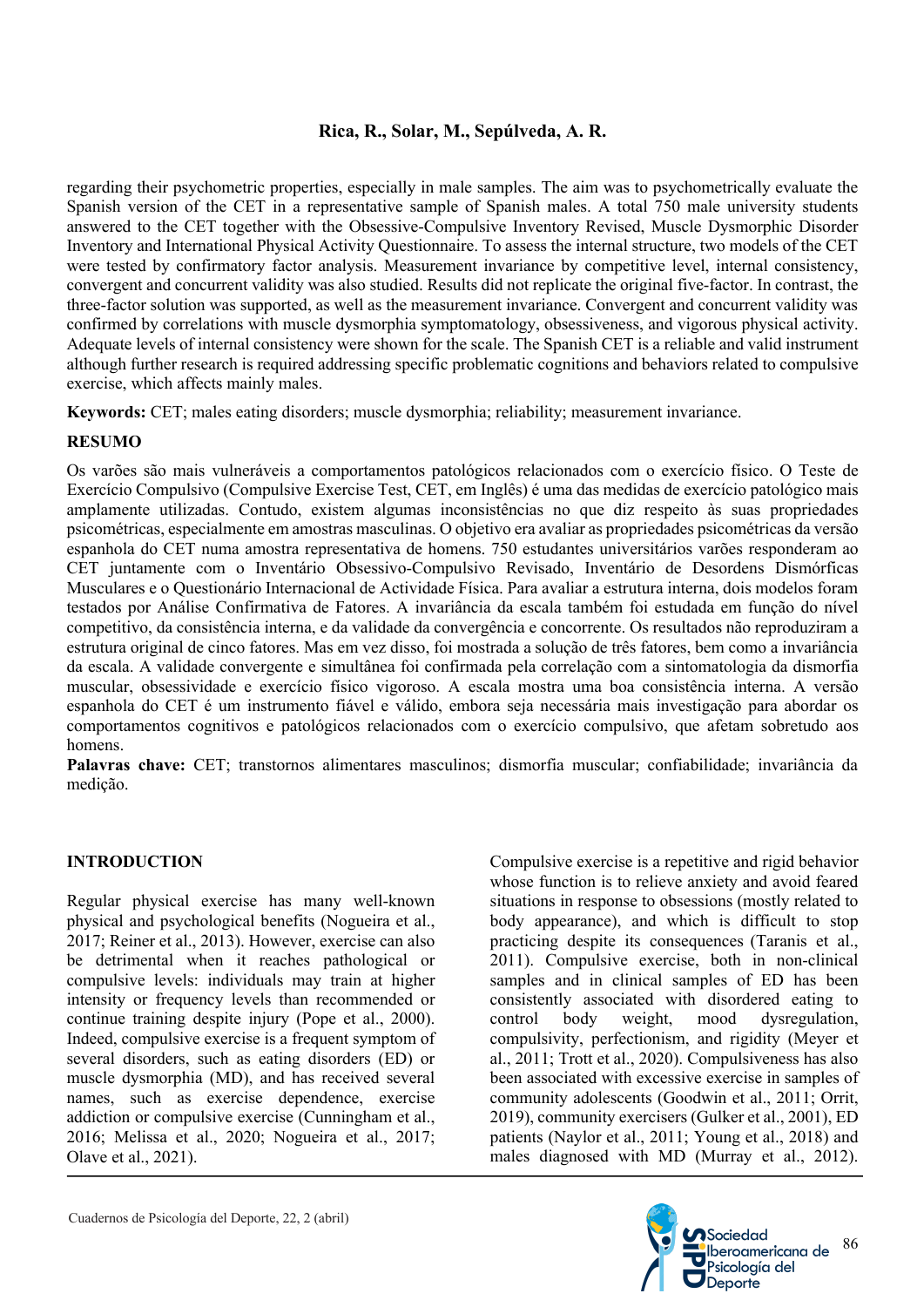## **Rica, R., Solar, M., Sepúlveda, A. R.**

regarding their psychometric properties, especially in male samples. The aim was to psychometrically evaluate the Spanish version of the CET in a representative sample of Spanish males. A total 750 male university students answered to the CET together with the Obsessive-Compulsive Inventory Revised, Muscle Dysmorphic Disorder Inventory and International Physical Activity Questionnaire. To assess the internal structure, two models of the CET were tested by confirmatory factor analysis. Measurement invariance by competitive level, internal consistency, convergent and concurrent validity was also studied. Results did not replicate the original five-factor. In contrast, the three-factor solution was supported, as well as the measurement invariance. Convergent and concurrent validity was confirmed by correlations with muscle dysmorphia symptomatology, obsessiveness, and vigorous physical activity. Adequate levels of internal consistency were shown for the scale. The Spanish CET is a reliable and valid instrument although further research is required addressing specific problematic cognitions and behaviors related to compulsive exercise, which affects mainly males.

**Keywords:** CET; males eating disorders; muscle dysmorphia; reliability; measurement invariance.

## **RESUMO**

Os varões são mais vulneráveis a comportamentos patológicos relacionados com o exercício físico. O Teste de Exercício Compulsivo (Compulsive Exercise Test, CET, em Inglês) é uma das medidas de exercício patológico mais amplamente utilizadas. Contudo, existem algumas inconsistências no que diz respeito às suas propriedades psicométricas, especialmente em amostras masculinas. O objetivo era avaliar as propriedades psicométricas da versão espanhola do CET numa amostra representativa de homens. 750 estudantes universitários varões responderam ao CET juntamente com o Inventário Obsessivo-Compulsivo Revisado, Inventário de Desordens Dismórficas Musculares e o Questionário Internacional de Actividade Física. Para avaliar a estrutura interna, dois modelos foram testados por Análise Confirmativa de Fatores. A invariância da escala também foi estudada em função do nível competitivo, da consistência interna, e da validade da convergência e concorrente. Os resultados não reproduziram a estrutura original de cinco fatores. Mas em vez disso, foi mostrada a solução de três fatores, bem como a invariância da escala. A validade convergente e simultânea foi confirmada pela correlação com a sintomatologia da dismorfia muscular, obsessividade e exercício físico vigoroso. A escala mostra uma boa consistência interna. A versão espanhola do CET é um instrumento fiável e válido, embora seja necessária mais investigação para abordar os comportamentos cognitivos e patológicos relacionados com o exercício compulsivo, que afetam sobretudo aos homens.

**Palavras chave:** CET; transtornos alimentares masculinos; dismorfia muscular; confiabilidade; invariância da medição.

## **INTRODUCTION**

Regular physical exercise has many well-known physical and psychological benefits (Nogueira et al., 2017; Reiner et al., 2013). However, exercise can also be detrimental when it reaches pathological or compulsive levels: individuals may train at higher intensity or frequency levels than recommended or continue training despite injury (Pope et al., 2000). Indeed, compulsive exercise is a frequent symptom of several disorders, such as eating disorders (ED) or muscle dysmorphia (MD), and has received several names, such as exercise dependence, exercise addiction or compulsive exercise (Cunningham et al., 2016; Melissa et al., 2020; Nogueira et al., 2017; Olave et al., 2021).

Compulsive exercise is a repetitive and rigid behavior whose function is to relieve anxiety and avoid feared situations in response to obsessions (mostly related to body appearance), and which is difficult to stop practicing despite its consequences (Taranis et al., 2011). Compulsive exercise, both in non-clinical samples and in clinical samples of ED has been consistently associated with disordered eating to control body weight, mood dysregulation, compulsivity, perfectionism, and rigidity (Meyer et al., 2011; Trott et al., 2020). Compulsiveness has also been associated with excessive exercise in samples of community adolescents (Goodwin et al., 2011; Orrit, 2019), community exercisers (Gulker et al., 2001), ED patients (Naylor et al., 2011; Young et al., 2018) and males diagnosed with MD (Murray et al., 2012).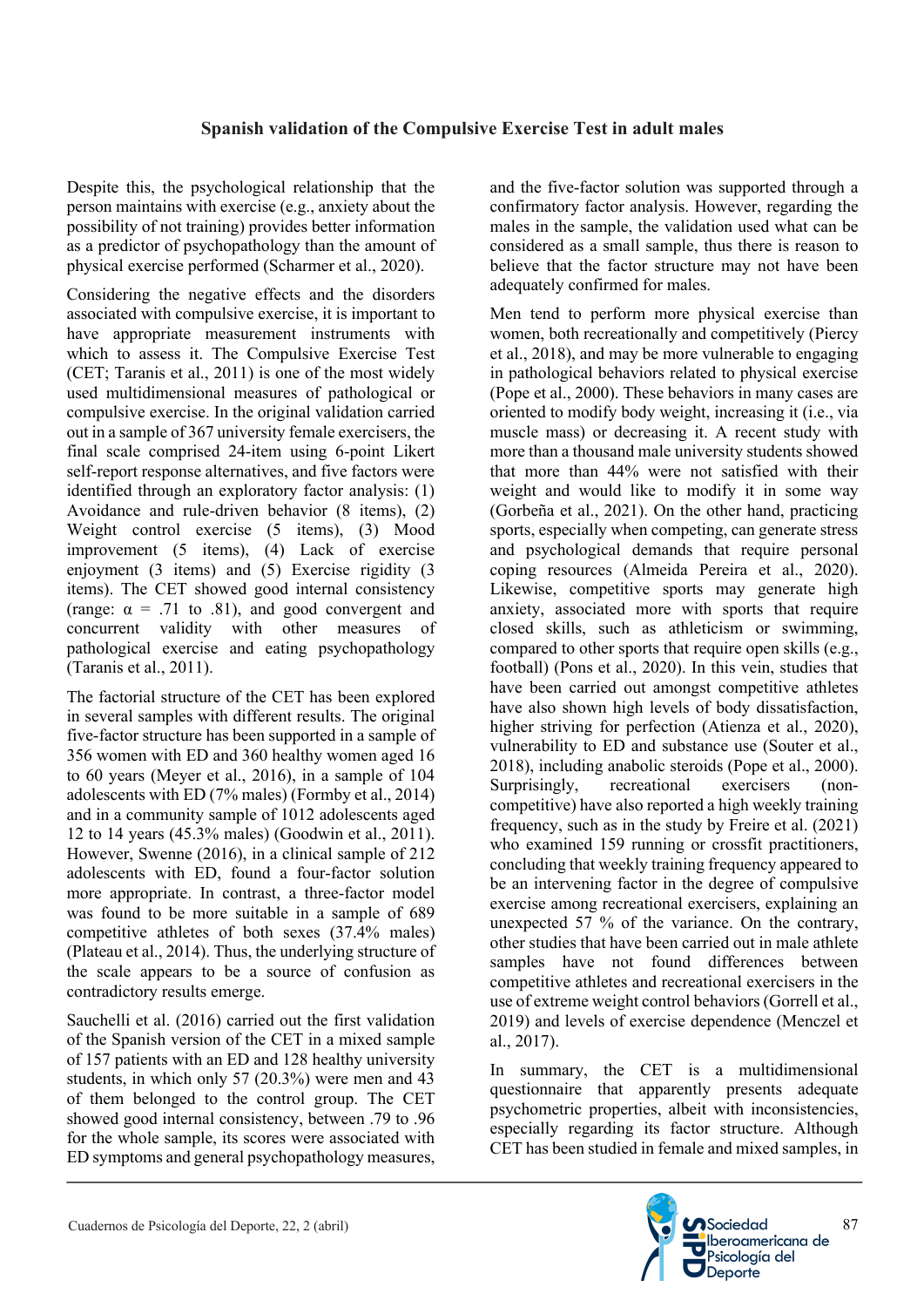Despite this, the psychological relationship that the person maintains with exercise (e.g., anxiety about the possibility of not training) provides better information as a predictor of psychopathology than the amount of physical exercise performed (Scharmer et al., 2020).

Considering the negative effects and the disorders associated with compulsive exercise, it is important to have appropriate measurement instruments with which to assess it. The Compulsive Exercise Test (CET; Taranis et al., 2011) is one of the most widely used multidimensional measures of pathological or compulsive exercise. In the original validation carried out in a sample of 367 university female exercisers, the final scale comprised 24-item using 6-point Likert self-report response alternatives, and five factors were identified through an exploratory factor analysis: (1) Avoidance and rule-driven behavior (8 items), (2) Weight control exercise (5 items), (3) Mood improvement (5 items), (4) Lack of exercise enjoyment (3 items) and (5) Exercise rigidity (3 items). The CET showed good internal consistency (range:  $\alpha$  = .71 to .81), and good convergent and concurrent validity with other measures of pathological exercise and eating psychopathology (Taranis et al., 2011).

The factorial structure of the CET has been explored in several samples with different results. The original five-factor structure has been supported in a sample of 356 women with ED and 360 healthy women aged 16 to 60 years (Meyer et al., 2016), in a sample of 104 adolescents with ED (7% males) (Formby et al., 2014) and in a community sample of 1012 adolescents aged 12 to 14 years (45.3% males) (Goodwin et al., 2011). However, Swenne (2016), in a clinical sample of 212 adolescents with ED, found a four-factor solution more appropriate. In contrast, a three-factor model was found to be more suitable in a sample of 689 competitive athletes of both sexes (37.4% males) (Plateau et al., 2014). Thus, the underlying structure of the scale appears to be a source of confusion as contradictory results emerge.

Sauchelli et al. (2016) carried out the first validation of the Spanish version of the CET in a mixed sample of 157 patients with an ED and 128 healthy university students, in which only 57 (20.3%) were men and 43 of them belonged to the control group. The CET showed good internal consistency, between .79 to .96 for the whole sample, its scores were associated with ED symptoms and general psychopathology measures,

and the five-factor solution was supported through a confirmatory factor analysis. However, regarding the males in the sample, the validation used what can be considered as a small sample, thus there is reason to believe that the factor structure may not have been adequately confirmed for males.

Men tend to perform more physical exercise than women, both recreationally and competitively (Piercy et al., 2018), and may be more vulnerable to engaging in pathological behaviors related to physical exercise (Pope et al., 2000). These behaviors in many cases are oriented to modify body weight, increasing it (i.e., via muscle mass) or decreasing it. A recent study with more than a thousand male university students showed that more than 44% were not satisfied with their weight and would like to modify it in some way (Gorbeña et al., 2021). On the other hand, practicing sports, especially when competing, can generate stress and psychological demands that require personal coping resources (Almeida Pereira et al., 2020). Likewise, competitive sports may generate high anxiety, associated more with sports that require closed skills, such as athleticism or swimming, compared to other sports that require open skills (e.g., football) (Pons et al., 2020). In this vein, studies that have been carried out amongst competitive athletes have also shown high levels of body dissatisfaction, higher striving for perfection (Atienza et al., 2020), vulnerability to ED and substance use (Souter et al., 2018), including anabolic steroids (Pope et al., 2000). Surprisingly, recreational exercisers (noncompetitive) have also reported a high weekly training frequency, such as in the study by Freire et al. (2021) who examined 159 running or crossfit practitioners, concluding that weekly training frequency appeared to be an intervening factor in the degree of compulsive exercise among recreational exercisers, explaining an unexpected 57 % of the variance. On the contrary, other studies that have been carried out in male athlete samples have not found differences between competitive athletes and recreational exercisers in the use of extreme weight control behaviors (Gorrell et al., 2019) and levels of exercise dependence (Menczel et al., 2017).

In summary, the CET is a multidimensional questionnaire that apparently presents adequate psychometric properties, albeit with inconsistencies, especially regarding its factor structure. Although CET has been studied in female and mixed samples, in

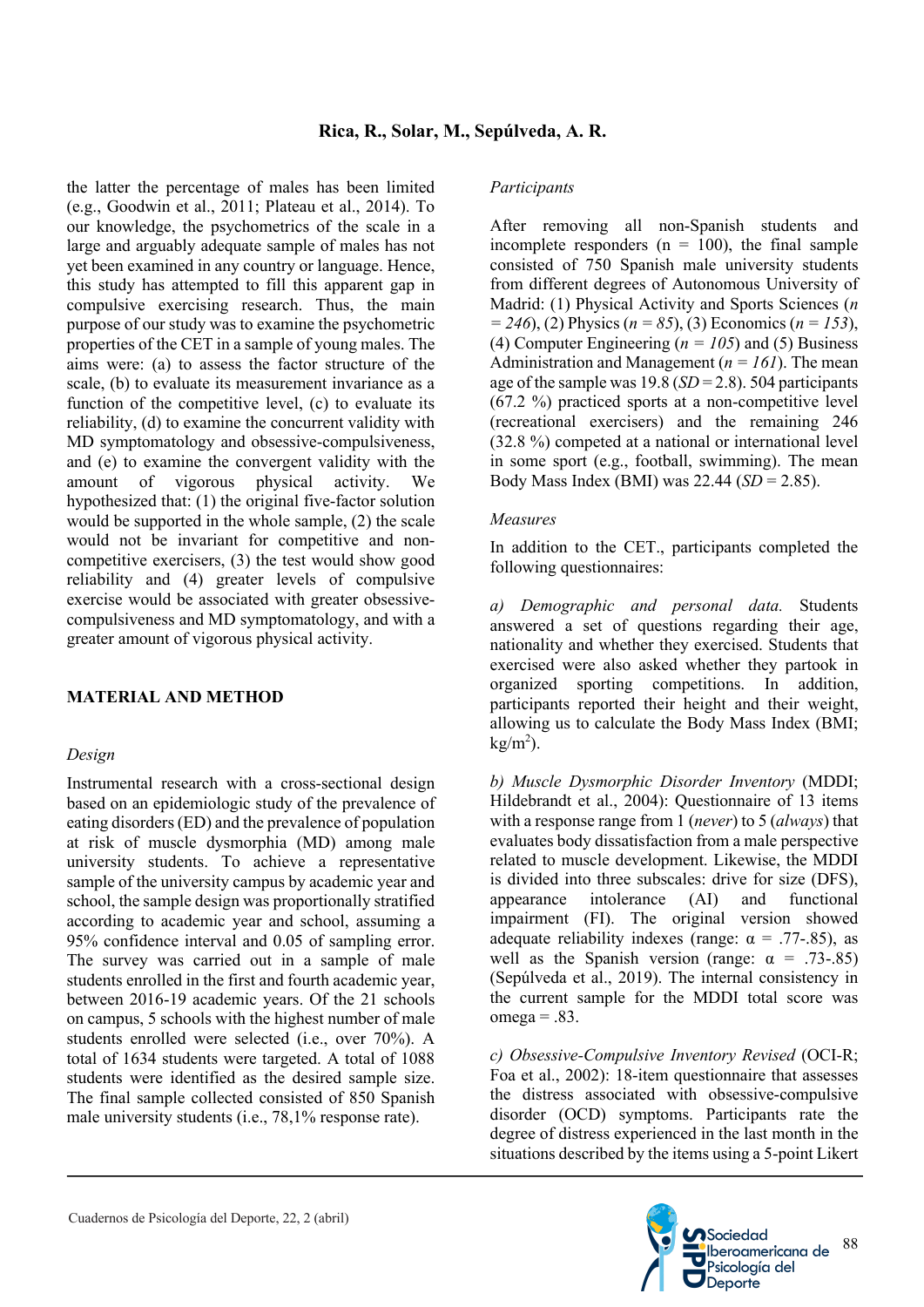the latter the percentage of males has been limited (e.g., Goodwin et al., 2011; Plateau et al., 2014). To our knowledge, the psychometrics of the scale in a large and arguably adequate sample of males has not yet been examined in any country or language. Hence, this study has attempted to fill this apparent gap in compulsive exercising research. Thus, the main purpose of our study was to examine the psychometric properties of the CET in a sample of young males. The aims were: (a) to assess the factor structure of the scale, (b) to evaluate its measurement invariance as a function of the competitive level, (c) to evaluate its reliability, (d) to examine the concurrent validity with MD symptomatology and obsessive-compulsiveness, and (e) to examine the convergent validity with the amount of vigorous physical activity. We hypothesized that: (1) the original five-factor solution would be supported in the whole sample, (2) the scale would not be invariant for competitive and noncompetitive exercisers, (3) the test would show good reliability and (4) greater levels of compulsive exercise would be associated with greater obsessivecompulsiveness and MD symptomatology, and with a greater amount of vigorous physical activity.

#### **MATERIAL AND METHOD**

#### *Design*

Instrumental research with a cross-sectional design based on an epidemiologic study of the prevalence of eating disorders (ED) and the prevalence of population at risk of muscle dysmorphia (MD) among male university students. To achieve a representative sample of the university campus by academic year and school, the sample design was proportionally stratified according to academic year and school, assuming a 95% confidence interval and 0.05 of sampling error. The survey was carried out in a sample of male students enrolled in the first and fourth academic year, between 2016-19 academic years. Of the 21 schools on campus, 5 schools with the highest number of male students enrolled were selected (i.e., over 70%). A total of 1634 students were targeted. A total of 1088 students were identified as the desired sample size. The final sample collected consisted of 850 Spanish male university students (i.e., 78,1% response rate).

#### *Participants*

After removing all non-Spanish students and incomplete responders  $(n = 100)$ , the final sample consisted of 750 Spanish male university students from different degrees of Autonomous University of Madrid: (1) Physical Activity and Sports Sciences (*n = 246*), (2) Physics (*n = 85*), (3) Economics (*n = 153*), (4) Computer Engineering ( $n = 105$ ) and (5) Business Administration and Management (*n = 161*). The mean age of the sample was 19.8 (*SD* = 2.8). 504 participants (67.2 %) practiced sports at a non-competitive level (recreational exercisers) and the remaining 246 (32.8 %) competed at a national or international level in some sport (e.g., football, swimming). The mean Body Mass Index (BMI) was 22.44 (*SD* = 2.85).

#### *Measures*

In addition to the CET., participants completed the following questionnaires:

*a) Demographic and personal data.* Students answered a set of questions regarding their age, nationality and whether they exercised. Students that exercised were also asked whether they partook in organized sporting competitions. In addition, participants reported their height and their weight, allowing us to calculate the Body Mass Index (BMI;  $kg/m<sup>2</sup>$ ).

*b) Muscle Dysmorphic Disorder Inventory* (MDDI; Hildebrandt et al., 2004): Questionnaire of 13 items with a response range from 1 (*never*) to 5 (*always*) that evaluates body dissatisfaction from a male perspective related to muscle development. Likewise, the MDDI is divided into three subscales: drive for size (DFS), appearance intolerance (AI) and functional impairment (FI). The original version showed adequate reliability indexes (range:  $\alpha = .77-.85$ ), as well as the Spanish version (range:  $\alpha = .73-.85$ ) (Sepúlveda et al., 2019). The internal consistency in the current sample for the MDDI total score was  $omega = .83$ .

*c) Obsessive-Compulsive Inventory Revised* (OCI-R; Foa et al., 2002): 18-item questionnaire that assesses the distress associated with obsessive-compulsive disorder (OCD) symptoms. Participants rate the degree of distress experienced in the last month in the situations described by the items using a 5-point Likert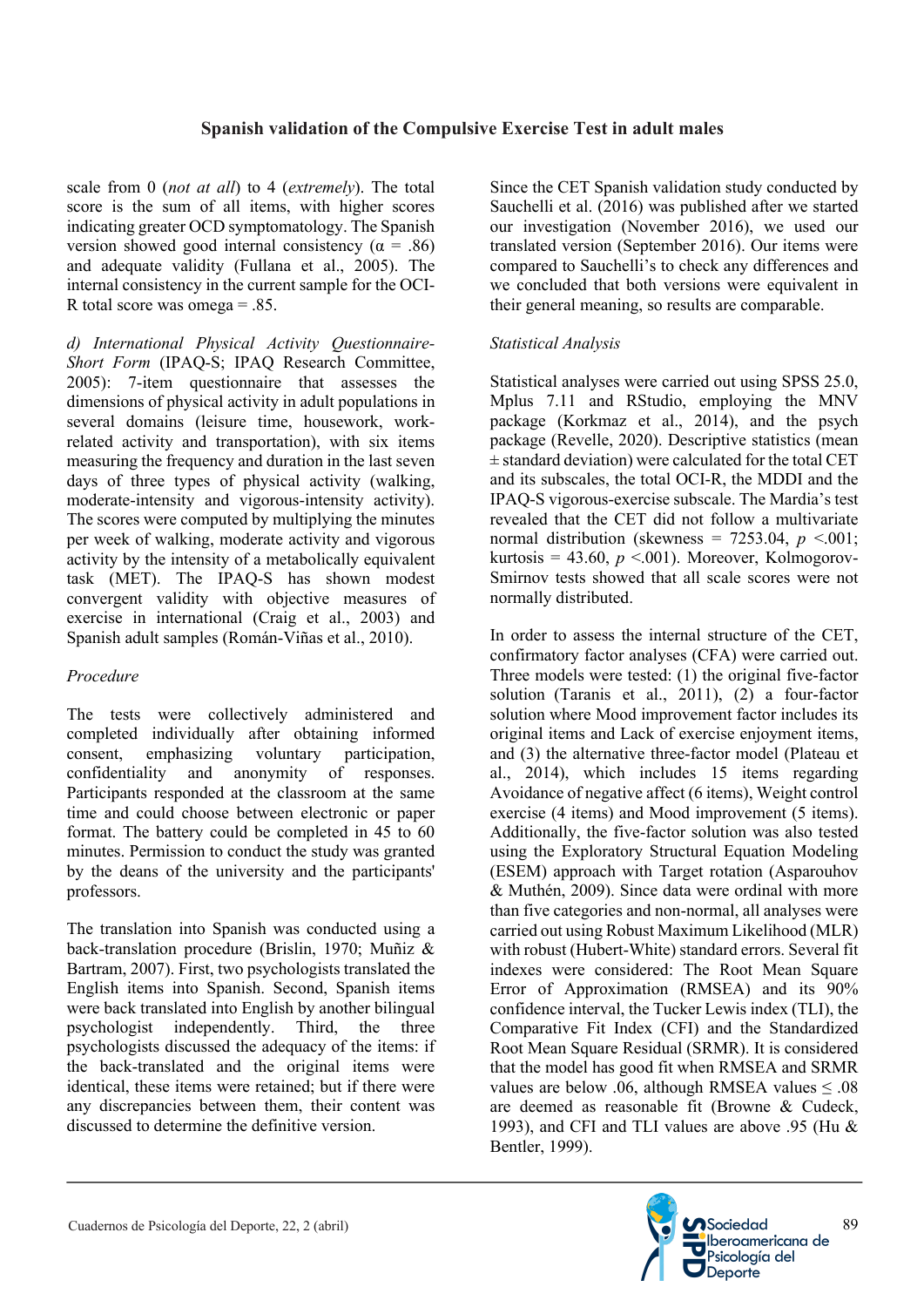scale from 0 (*not at all*) to 4 (*extremely*). The total score is the sum of all items, with higher scores indicating greater OCD symptomatology. The Spanish version showed good internal consistency ( $\alpha = .86$ ) and adequate validity (Fullana et al., 2005). The internal consistency in the current sample for the OCI-R total score was omega  $= .85$ .

*d) International Physical Activity Questionnaire-Short Form* (IPAQ-S; IPAQ Research Committee, 2005): 7-item questionnaire that assesses the dimensions of physical activity in adult populations in several domains (leisure time, housework, workrelated activity and transportation), with six items measuring the frequency and duration in the last seven days of three types of physical activity (walking, moderate-intensity and vigorous-intensity activity). The scores were computed by multiplying the minutes per week of walking, moderate activity and vigorous activity by the intensity of a metabolically equivalent task (MET). The IPAQ-S has shown modest convergent validity with objective measures of exercise in international (Craig et al., 2003) and Spanish adult samples (Román-Viñas et al., 2010).

## *Procedure*

The tests were collectively administered and completed individually after obtaining informed consent, emphasizing voluntary participation, confidentiality and anonymity of responses. Participants responded at the classroom at the same time and could choose between electronic or paper format. The battery could be completed in 45 to 60 minutes. Permission to conduct the study was granted by the deans of the university and the participants' professors.

The translation into Spanish was conducted using a back-translation procedure (Brislin, 1970; Muñiz & Bartram, 2007). First, two psychologists translated the English items into Spanish. Second, Spanish items were back translated into English by another bilingual psychologist independently. Third, the three psychologists discussed the adequacy of the items: if the back-translated and the original items were identical, these items were retained; but if there were any discrepancies between them, their content was discussed to determine the definitive version.

Since the CET Spanish validation study conducted by Sauchelli et al. (2016) was published after we started our investigation (November 2016), we used our translated version (September 2016). Our items were compared to Sauchelli's to check any differences and we concluded that both versions were equivalent in their general meaning, so results are comparable.

## *Statistical Analysis*

Statistical analyses were carried out using SPSS 25.0, Mplus 7.11 and RStudio, employing the MNV package (Korkmaz et al., 2014), and the psych package (Revelle, 2020). Descriptive statistics (mean  $\pm$  standard deviation) were calculated for the total CET and its subscales, the total OCI-R, the MDDI and the IPAQ-S vigorous-exercise subscale. The Mardia's test revealed that the CET did not follow a multivariate normal distribution (skewness =  $7253.04$ ,  $p < .001$ ; kurtosis = 43.60,  $p \le 0.001$ ). Moreover, Kolmogorov-Smirnov tests showed that all scale scores were not normally distributed.

In order to assess the internal structure of the CET, confirmatory factor analyses (CFA) were carried out. Three models were tested: (1) the original five-factor solution (Taranis et al., 2011), (2) a four-factor solution where Mood improvement factor includes its original items and Lack of exercise enjoyment items, and (3) the alternative three-factor model (Plateau et al., 2014), which includes 15 items regarding Avoidance of negative affect (6 items), Weight control exercise (4 items) and Mood improvement (5 items). Additionally, the five-factor solution was also tested using the Exploratory Structural Equation Modeling (ESEM) approach with Target rotation (Asparouhov & Muthén, 2009). Since data were ordinal with more than five categories and non-normal, all analyses were carried out using Robust Maximum Likelihood (MLR) with robust (Hubert-White) standard errors. Several fit indexes were considered: The Root Mean Square Error of Approximation (RMSEA) and its 90% confidence interval, the Tucker Lewis index (TLI), the Comparative Fit Index (CFI) and the Standardized Root Mean Square Residual (SRMR). It is considered that the model has good fit when RMSEA and SRMR values are below .06, although RMSEA values  $\leq .08$ are deemed as reasonable fit (Browne & Cudeck, 1993), and CFI and TLI values are above .95 (Hu & Bentler, 1999).

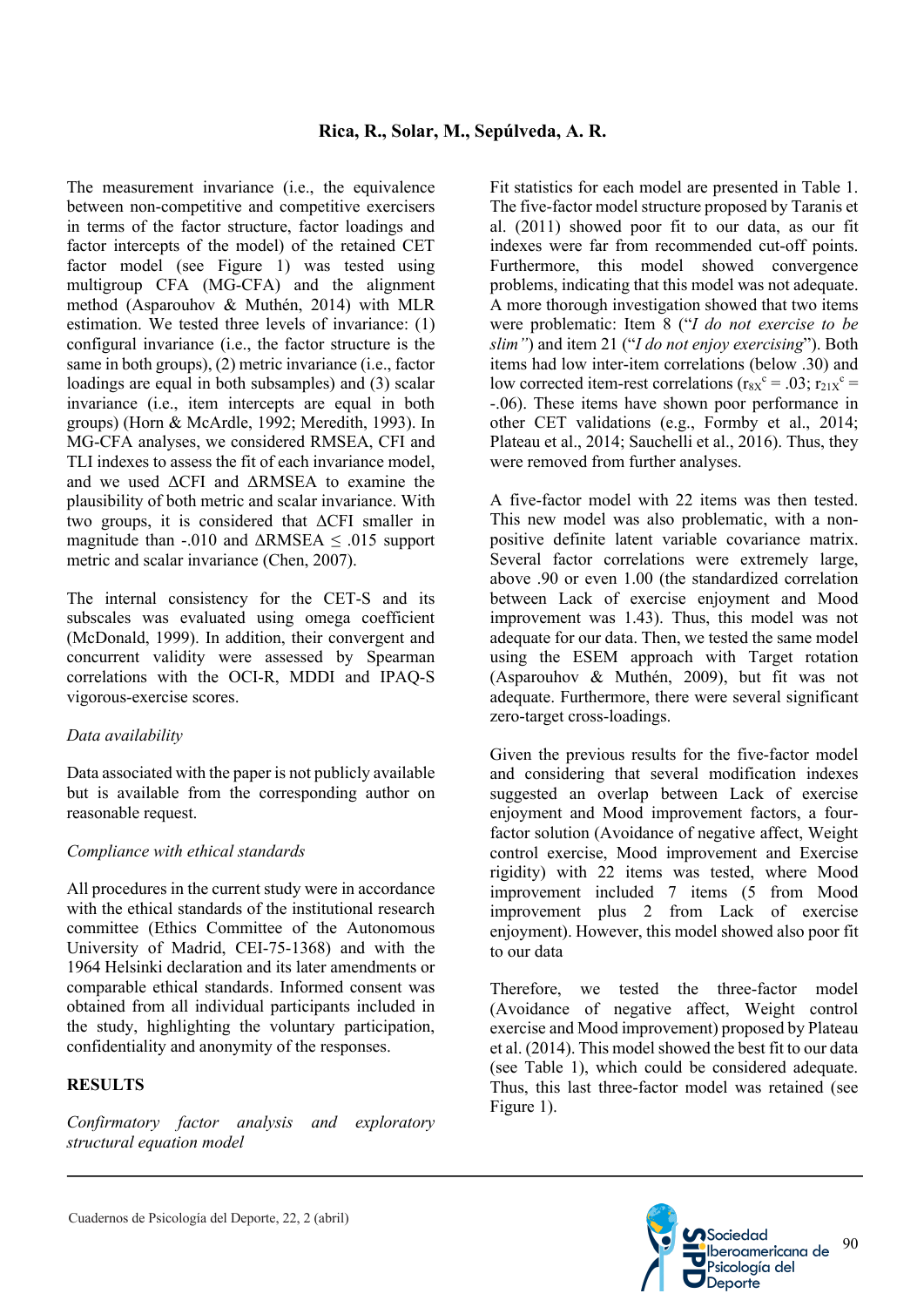The measurement invariance (i.e., the equivalence between non-competitive and competitive exercisers in terms of the factor structure, factor loadings and factor intercepts of the model) of the retained CET factor model (see Figure 1) was tested using multigroup CFA (MG-CFA) and the alignment method (Asparouhov & Muthén, 2014) with MLR estimation. We tested three levels of invariance: (1) configural invariance (i.e., the factor structure is the same in both groups), (2) metric invariance (i.e., factor loadings are equal in both subsamples) and (3) scalar invariance (i.e., item intercepts are equal in both groups) (Horn & McArdle, 1992; Meredith, 1993). In MG-CFA analyses, we considered RMSEA, CFI and TLI indexes to assess the fit of each invariance model, and we used ΔCFI and ΔRMSEA to examine the plausibility of both metric and scalar invariance. With two groups, it is considered that ΔCFI smaller in magnitude than  $-.010$  and  $\triangle$ RMSEA  $\leq .015$  support metric and scalar invariance (Chen, 2007).

The internal consistency for the CET-S and its subscales was evaluated using omega coefficient (McDonald, 1999). In addition, their convergent and concurrent validity were assessed by Spearman correlations with the OCI-R, MDDI and IPAQ-S vigorous-exercise scores.

## *Data availability*

Data associated with the paper is not publicly available but is available from the corresponding author on reasonable request.

## *Compliance with ethical standards*

All procedures in the current study were in accordance with the ethical standards of the institutional research committee (Ethics Committee of the Autonomous University of Madrid, CEI-75-1368) and with the 1964 Helsinki declaration and its later amendments or comparable ethical standards. Informed consent was obtained from all individual participants included in the study, highlighting the voluntary participation, confidentiality and anonymity of the responses.

## **RESULTS**

*Confirmatory factor analysis and exploratory structural equation model*

Fit statistics for each model are presented in Table 1. The five-factor model structure proposed by Taranis et al. (2011) showed poor fit to our data, as our fit indexes were far from recommended cut-off points. Furthermore, this model showed convergence problems, indicating that this model was not adequate. A more thorough investigation showed that two items were problematic: Item 8 ("*I do not exercise to be slim"*) and item 21 ("*I do not enjoy exercising*"). Both items had low inter-item correlations (below .30) and low corrected item-rest correlations ( $r_{8X}^c = .03$ ;  $r_{21X}^c =$ -.06). These items have shown poor performance in other CET validations (e.g., Formby et al., 2014; Plateau et al., 2014; Sauchelli et al., 2016). Thus, they were removed from further analyses.

A five-factor model with 22 items was then tested. This new model was also problematic, with a nonpositive definite latent variable covariance matrix. Several factor correlations were extremely large, above .90 or even 1.00 (the standardized correlation between Lack of exercise enjoyment and Mood improvement was 1.43). Thus, this model was not adequate for our data. Then, we tested the same model using the ESEM approach with Target rotation (Asparouhov & Muthén, 2009), but fit was not adequate. Furthermore, there were several significant zero-target cross-loadings.

Given the previous results for the five-factor model and considering that several modification indexes suggested an overlap between Lack of exercise enjoyment and Mood improvement factors, a fourfactor solution (Avoidance of negative affect, Weight control exercise, Mood improvement and Exercise rigidity) with 22 items was tested, where Mood improvement included 7 items (5 from Mood improvement plus 2 from Lack of exercise enjoyment). However, this model showed also poor fit to our data

Therefore, we tested the three-factor model (Avoidance of negative affect, Weight control exercise and Mood improvement) proposed by Plateau et al. (2014). This model showed the best fit to our data (see Table 1), which could be considered adequate. Thus, this last three-factor model was retained (see Figure 1).

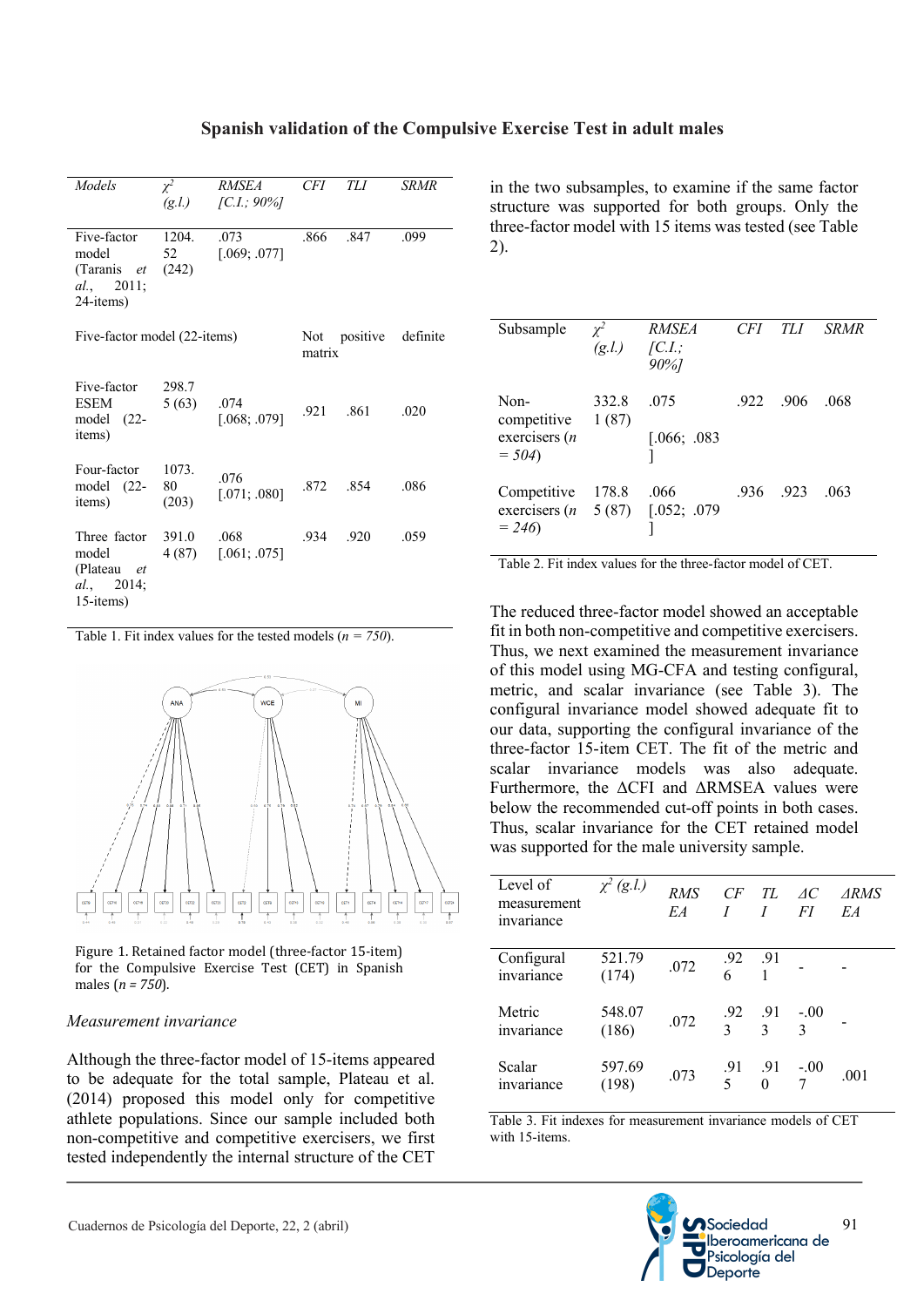| <b>Models</b>                                                             | $\chi^2$<br>(g.l.)   | <i>RMSEA</i><br>$\left[ C.I.; 90\% \right]$ | CFI      | TLI  | <b>SRMR</b> |
|---------------------------------------------------------------------------|----------------------|---------------------------------------------|----------|------|-------------|
| Five-factor<br>model<br>(Taranis et<br>al., 2011;<br>24-items)            | 1204.<br>52<br>(242) | .073<br>[.069; .077]                        | .866     | .847 | .099        |
| Five-factor model (22-items)                                              | matrix               | Not positive                                | definite |      |             |
| Five-factor<br>ESEM<br>$model$ (22-<br>items)                             | 298.7<br>5(63)       | .074<br>[.068; .079]                        | .921     | .861 | .020        |
| Four-factor<br>model $(22-$<br>items)                                     | 1073.<br>80<br>(203) | .076<br>[.071; .080]                        | .872     | .854 | .086        |
| Three factor<br>model<br>(Plateau <i>et</i><br>al., $2014$ ;<br>15-items) | 391.0<br>4 (87)      | .068<br>[.061; .075]                        | .934     | .920 | .059        |

Table 1. Fit index values for the tested models (*n = 750*).



Figure 1. Retained factor model (three-factor 15-item) for the Compulsive Exercise Test (CET) in Spanish males  $(n = 750)$ .

#### *Measurement invariance*

Although the three-factor model of 15-items appeared to be adequate for the total sample, Plateau et al. (2014) proposed this model only for competitive athlete populations. Since our sample included both non-competitive and competitive exercisers, we first tested independently the internal structure of the CET

in the two subsamples, to examine if the same factor structure was supported for both groups. Only the three-factor model with 15 items was tested (see Table 2).

| Subsample                                          | $\gamma^2$<br>$(g.l.)$ $[C.I.;$ | <i>RMSEA</i><br>90%] | CFI. | TLI  | <b>SRMR</b> |
|----------------------------------------------------|---------------------------------|----------------------|------|------|-------------|
| Non-<br>competitive<br>exercisers $(n)$<br>$= 504$ | 332.8<br>1(87)                  | .075<br>[.066; .083] | .922 | .906 | .068        |
| Competitive<br>exercisers $(n$<br>$= 246$          | 178.8<br>5(87)                  | .066<br>[.052; .079] | .936 | .923 | .063        |

Table 2. Fit index values for the three-factor model of CET.

The reduced three-factor model showed an acceptable fit in both non-competitive and competitive exercisers. Thus, we next examined the measurement invariance of this model using MG-CFA and testing configural, metric, and scalar invariance (see Table 3). The configural invariance model showed adequate fit to our data, supporting the configural invariance of the three-factor 15-item CET. The fit of the metric and scalar invariance models was also adequate. Furthermore, the ΔCFI and ΔRMSEA values were below the recommended cut-off points in both cases. Thus, scalar invariance for the CET retained model was supported for the male university sample.

| Level of<br>measurement<br>invariance | $\chi^2$ (g.l.) | <b>RMS</b><br>EA | CF                                               | TL<br>I         | AC<br>FI         | <i>ARMS</i><br>EA |
|---------------------------------------|-----------------|------------------|--------------------------------------------------|-----------------|------------------|-------------------|
| Configural<br>invariance              | 521.79<br>(174) | .072             | $.92$ $.91$<br>6 1                               |                 |                  |                   |
| Metric<br>invariance                  | 548.07<br>(186) | .072             | $\begin{matrix} .92 & .91 \\ 3 & 3 \end{matrix}$ |                 | $\frac{-.00}{3}$ |                   |
| Scalar<br>invariance                  | 597.69<br>(198) | .073             | $\frac{.91}{5}$                                  | .91<br>$\theta$ | $-0.00$          | .001              |

Table 3. Fit indexes for measurement invariance models of CET with 15-items.

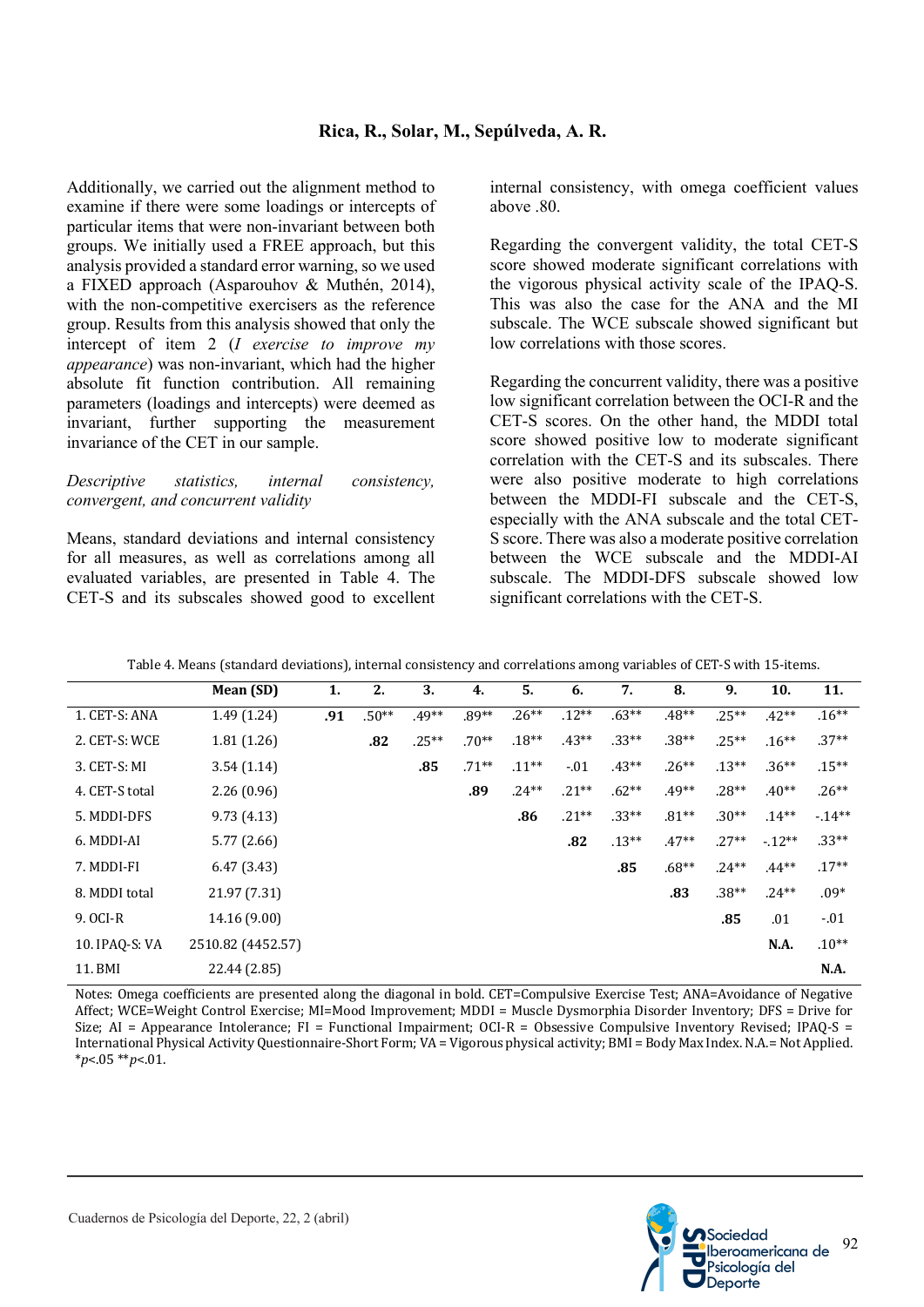## **Rica, R., Solar, M., Sepúlveda, A. R.**

Additionally, we carried out the alignment method to examine if there were some loadings or intercepts of particular items that were non-invariant between both groups. We initially used a FREE approach, but this analysis provided a standard error warning, so we used a FIXED approach (Asparouhov & Muthén, 2014), with the non-competitive exercisers as the reference group. Results from this analysis showed that only the intercept of item 2 (*I exercise to improve my appearance*) was non-invariant, which had the higher absolute fit function contribution. All remaining parameters (loadings and intercepts) were deemed as invariant, further supporting the measurement invariance of the CET in our sample.

#### *Descriptive statistics, internal consistency, convergent, and concurrent validity*

Means, standard deviations and internal consistency for all measures, as well as correlations among all evaluated variables, are presented in Table 4. The CET-S and its subscales showed good to excellent internal consistency, with omega coefficient values above .80.

Regarding the convergent validity, the total CET-S score showed moderate significant correlations with the vigorous physical activity scale of the IPAQ-S. This was also the case for the ANA and the MI subscale. The WCE subscale showed significant but low correlations with those scores.

Regarding the concurrent validity, there was a positive low significant correlation between the OCI-R and the CET-S scores. On the other hand, the MDDI total score showed positive low to moderate significant correlation with the CET-S and its subscales. There were also positive moderate to high correlations between the MDDI-FI subscale and the CET-S, especially with the ANA subscale and the total CET-S score. There was also a moderate positive correlation between the WCE subscale and the MDDI-AI subscale. The MDDI-DFS subscale showed low significant correlations with the CET-S.

| Table 4. Means (standard deviations), internal consistency and correlations among variables of CET-S with 15-items. |  |  |
|---------------------------------------------------------------------------------------------------------------------|--|--|
|---------------------------------------------------------------------------------------------------------------------|--|--|

|                | Mean (SD)         | 1.  | 2.      | 3.      | 4.      | 5.       | 6.      | 7.      | 8.      | 9.      | 10.         | 11.     |
|----------------|-------------------|-----|---------|---------|---------|----------|---------|---------|---------|---------|-------------|---------|
| 1. CET-S: ANA  | 1.49(1.24)        | .91 | $.50**$ | $.49**$ | $.89**$ | $.26**$  | $.12**$ | $.63**$ | $.48**$ | $.25**$ | $.42**$     | $.16**$ |
| 2. CET-S: WCE  | 1.81(1.26)        |     | .82     | $.25**$ | $.70**$ | $.18**$  | $.43**$ | $.33**$ | $.38**$ | $.25**$ | $.16**$     | $.37**$ |
| 3. CET-S: MI   | 3.54(1.14)        |     |         | .85     | $.71**$ | $.11***$ | $-.01$  | $.43**$ | $.26**$ | $.13**$ | $.36**$     | $.15**$ |
| 4. CET-S total | 2.26(0.96)        |     |         |         | .89     | $.24**$  | $.21**$ | $.62**$ | $.49**$ | $.28**$ | $.40**$     | $.26**$ |
| 5. MDDI-DFS    | 9.73(4.13)        |     |         |         |         | .86      | $.21**$ | $.33**$ | $.81**$ | $.30**$ | $.14**$     | $-14**$ |
| 6. MDDI-AI     | 5.77(2.66)        |     |         |         |         |          | .82     | $.13**$ | $.47**$ | $.27**$ | $-12**$     | $.33**$ |
| 7. MDDI-FI     | 6.47(3.43)        |     |         |         |         |          |         | .85     | $.68**$ | $.24**$ | $.44**$     | $.17**$ |
| 8. MDDI total  | 21.97 (7.31)      |     |         |         |         |          |         |         | .83     | $.38**$ | $.24**$     | $.09*$  |
| 9. OCI-R       | 14.16 (9.00)      |     |         |         |         |          |         |         |         | .85     | .01         | $-.01$  |
| 10. IPAQ-S: VA | 2510.82 (4452.57) |     |         |         |         |          |         |         |         |         | <b>N.A.</b> | $.10**$ |
| 11. BMI        | 22.44 (2.85)      |     |         |         |         |          |         |         |         |         |             | N.A.    |

Notes: Omega coefficients are presented along the diagonal in bold. CET=Compulsive Exercise Test; ANA=Avoidance of Negative Affect; WCE=Weight Control Exercise; MI=Mood Improvement; MDDI = Muscle Dysmorphia Disorder Inventory;  $DFS = Drive$  for Size;  $AI =$  Appearance Intolerance;  $FI =$  Functional Impairment; OCI-R = Obsessive Compulsive Inventory Revised; IPAQ-S = International Physical Activity Questionnaire-Short Form; VA = Vigorous physical activity; BMI = Body Max Index. N.A.= Not Applied. \**p*<.05 \*\**p*<.01.

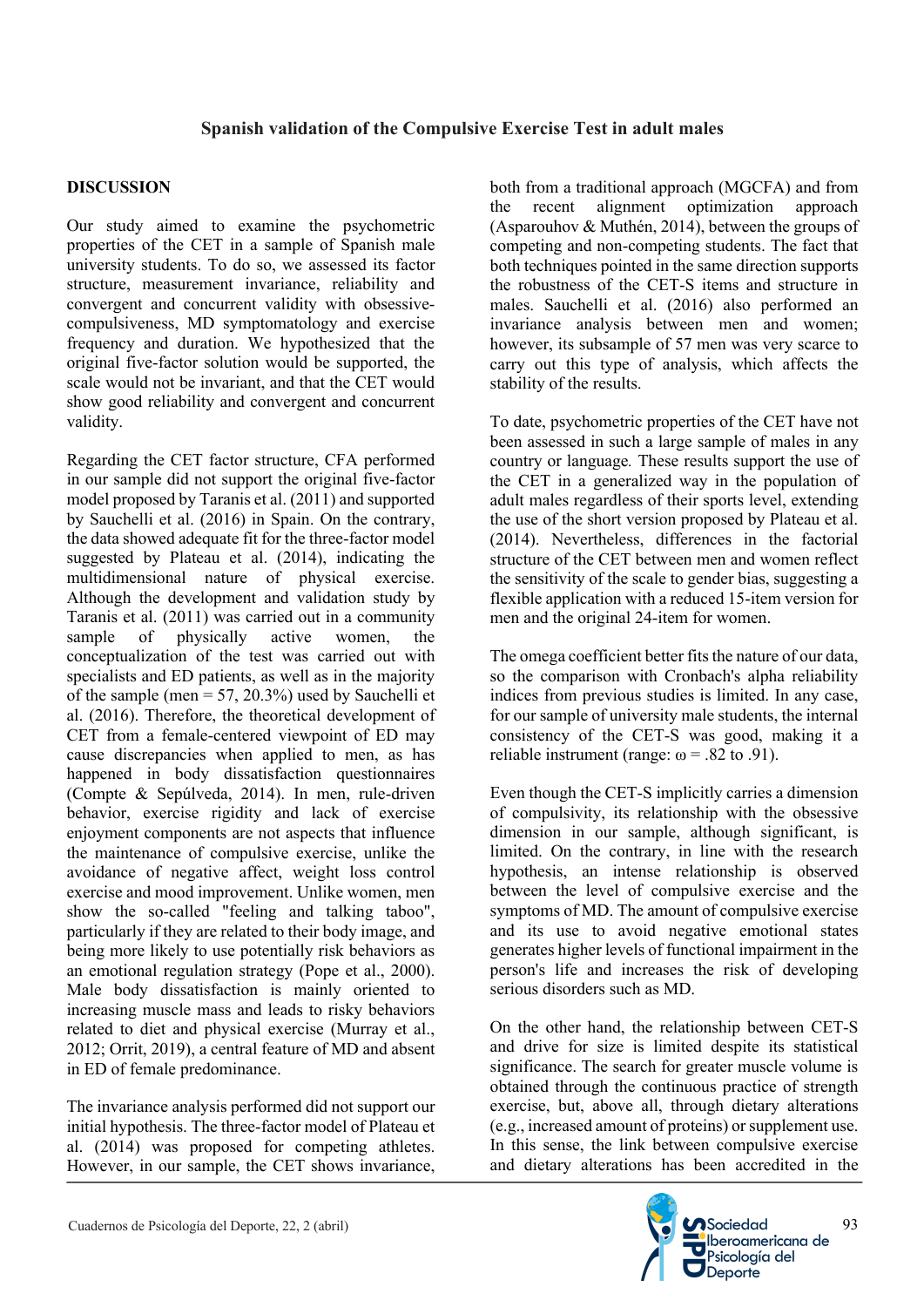#### **DISCUSSION**

Our study aimed to examine the psychometric properties of the CET in a sample of Spanish male university students. To do so, we assessed its factor structure, measurement invariance, reliability and convergent and concurrent validity with obsessivecompulsiveness, MD symptomatology and exercise frequency and duration. We hypothesized that the original five-factor solution would be supported, the scale would not be invariant, and that the CET would show good reliability and convergent and concurrent validity.

Regarding the CET factor structure, CFA performed in our sample did not support the original five-factor model proposed by Taranis et al. (2011) and supported by Sauchelli et al. (2016) in Spain. On the contrary, the data showed adequate fit for the three-factor model suggested by Plateau et al. (2014), indicating the multidimensional nature of physical exercise. Although the development and validation study by Taranis et al. (2011) was carried out in a community sample of physically active women, the conceptualization of the test was carried out with specialists and ED patients, as well as in the majority of the sample (men  $= 57, 20.3\%$ ) used by Sauchelli et al. (2016). Therefore, the theoretical development of CET from a female-centered viewpoint of ED may cause discrepancies when applied to men, as has happened in body dissatisfaction questionnaires (Compte & Sepúlveda, 2014). In men, rule-driven behavior, exercise rigidity and lack of exercise enjoyment components are not aspects that influence the maintenance of compulsive exercise, unlike the avoidance of negative affect, weight loss control exercise and mood improvement. Unlike women, men show the so-called "feeling and talking taboo", particularly if they are related to their body image, and being more likely to use potentially risk behaviors as an emotional regulation strategy (Pope et al., 2000). Male body dissatisfaction is mainly oriented to increasing muscle mass and leads to risky behaviors related to diet and physical exercise (Murray et al., 2012; Orrit, 2019), a central feature of MD and absent in ED of female predominance.

The invariance analysis performed did not support our initial hypothesis. The three-factor model of Plateau et al. (2014) was proposed for competing athletes. However, in our sample, the CET shows invariance,

both from a traditional approach (MGCFA) and from the recent alignment optimization approach (Asparouhov & Muthén, 2014), between the groups of competing and non-competing students. The fact that both techniques pointed in the same direction supports the robustness of the CET-S items and structure in males. Sauchelli et al. (2016) also performed an invariance analysis between men and women; however, its subsample of 57 men was very scarce to carry out this type of analysis, which affects the stability of the results.

To date, psychometric properties of the CET have not been assessed in such a large sample of males in any country or language*.* These results support the use of the CET in a generalized way in the population of adult males regardless of their sports level, extending the use of the short version proposed by Plateau et al. (2014). Nevertheless, differences in the factorial structure of the CET between men and women reflect the sensitivity of the scale to gender bias, suggesting a flexible application with a reduced 15-item version for men and the original 24-item for women.

The omega coefficient better fits the nature of our data, so the comparison with Cronbach's alpha reliability indices from previous studies is limited. In any case, for our sample of university male students, the internal consistency of the CET-S was good, making it a reliable instrument (range:  $\omega$  = .82 to .91).

Even though the CET-S implicitly carries a dimension of compulsivity, its relationship with the obsessive dimension in our sample, although significant, is limited. On the contrary, in line with the research hypothesis, an intense relationship is observed between the level of compulsive exercise and the symptoms of MD. The amount of compulsive exercise and its use to avoid negative emotional states generates higher levels of functional impairment in the person's life and increases the risk of developing serious disorders such as MD.

On the other hand, the relationship between CET-S and drive for size is limited despite its statistical significance. The search for greater muscle volume is obtained through the continuous practice of strength exercise, but, above all, through dietary alterations (e.g., increased amount of proteins) or supplement use. In this sense, the link between compulsive exercise and dietary alterations has been accredited in the

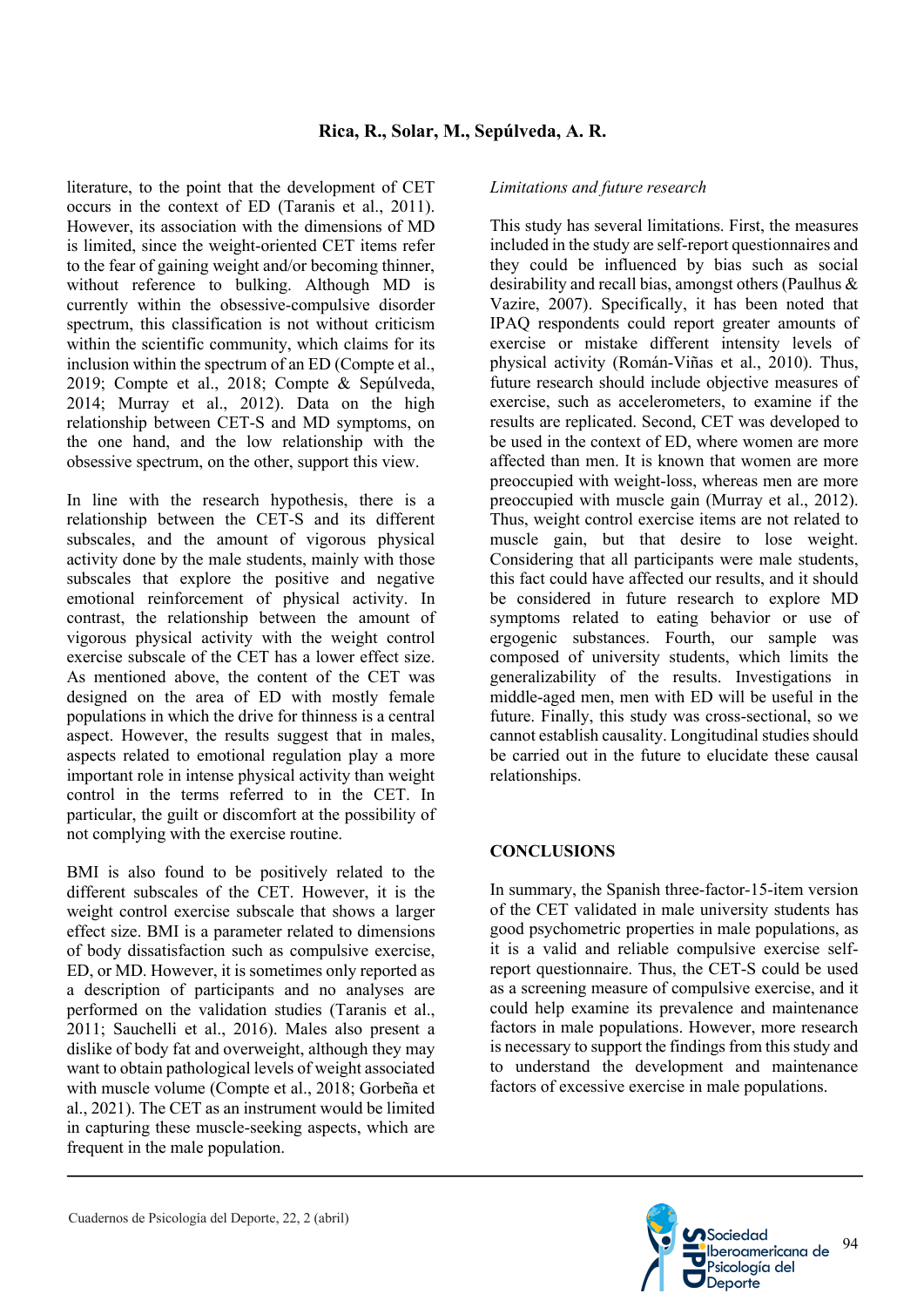literature, to the point that the development of CET occurs in the context of ED (Taranis et al., 2011). However, its association with the dimensions of MD is limited, since the weight-oriented CET items refer to the fear of gaining weight and/or becoming thinner, without reference to bulking. Although MD is currently within the obsessive-compulsive disorder spectrum, this classification is not without criticism within the scientific community, which claims for its inclusion within the spectrum of an ED (Compte et al., 2019; Compte et al., 2018; Compte & Sepúlveda, 2014; Murray et al., 2012). Data on the high relationship between CET-S and MD symptoms, on the one hand, and the low relationship with the obsessive spectrum, on the other, support this view.

In line with the research hypothesis, there is a relationship between the CET-S and its different subscales, and the amount of vigorous physical activity done by the male students, mainly with those subscales that explore the positive and negative emotional reinforcement of physical activity. In contrast, the relationship between the amount of vigorous physical activity with the weight control exercise subscale of the CET has a lower effect size. As mentioned above, the content of the CET was designed on the area of ED with mostly female populations in which the drive for thinness is a central aspect. However, the results suggest that in males, aspects related to emotional regulation play a more important role in intense physical activity than weight control in the terms referred to in the CET. In particular, the guilt or discomfort at the possibility of not complying with the exercise routine.

BMI is also found to be positively related to the different subscales of the CET. However, it is the weight control exercise subscale that shows a larger effect size. BMI is a parameter related to dimensions of body dissatisfaction such as compulsive exercise, ED, or MD. However, it is sometimes only reported as a description of participants and no analyses are performed on the validation studies (Taranis et al., 2011; Sauchelli et al., 2016). Males also present a dislike of body fat and overweight, although they may want to obtain pathological levels of weight associated with muscle volume (Compte et al., 2018; Gorbeña et al., 2021). The CET as an instrument would be limited in capturing these muscle-seeking aspects, which are frequent in the male population.

#### *Limitations and future research*

This study has several limitations. First, the measures included in the study are self-report questionnaires and they could be influenced by bias such as social desirability and recall bias, amongst others (Paulhus & Vazire, 2007). Specifically, it has been noted that IPAQ respondents could report greater amounts of exercise or mistake different intensity levels of physical activity (Román-Viñas et al., 2010). Thus, future research should include objective measures of exercise, such as accelerometers, to examine if the results are replicated. Second, CET was developed to be used in the context of ED, where women are more affected than men. It is known that women are more preoccupied with weight-loss, whereas men are more preoccupied with muscle gain (Murray et al., 2012). Thus, weight control exercise items are not related to muscle gain, but that desire to lose weight. Considering that all participants were male students, this fact could have affected our results, and it should be considered in future research to explore MD symptoms related to eating behavior or use of ergogenic substances. Fourth, our sample was composed of university students, which limits the generalizability of the results. Investigations in middle-aged men, men with ED will be useful in the future. Finally, this study was cross-sectional, so we cannot establish causality. Longitudinal studies should be carried out in the future to elucidate these causal relationships.

#### **CONCLUSIONS**

In summary, the Spanish three-factor-15-item version of the CET validated in male university students has good psychometric properties in male populations, as it is a valid and reliable compulsive exercise selfreport questionnaire. Thus, the CET-S could be used as a screening measure of compulsive exercise, and it could help examine its prevalence and maintenance factors in male populations. However, more research is necessary to support the findings from this study and to understand the development and maintenance factors of excessive exercise in male populations.

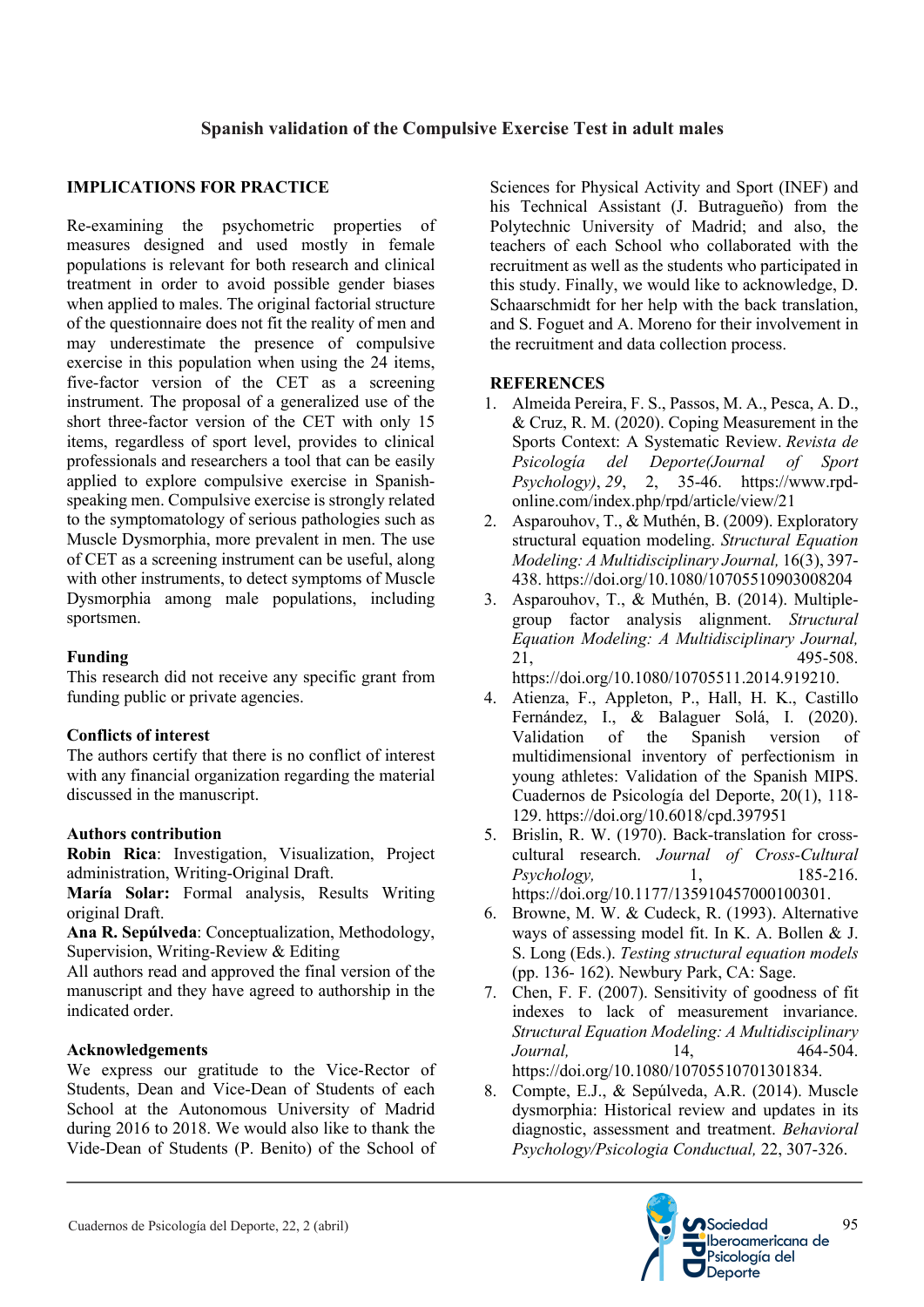## **IMPLICATIONS FOR PRACTICE**

Re-examining the psychometric properties of measures designed and used mostly in female populations is relevant for both research and clinical treatment in order to avoid possible gender biases when applied to males. The original factorial structure of the questionnaire does not fit the reality of men and may underestimate the presence of compulsive exercise in this population when using the 24 items, five-factor version of the CET as a screening instrument. The proposal of a generalized use of the short three-factor version of the CET with only 15 items, regardless of sport level, provides to clinical professionals and researchers a tool that can be easily applied to explore compulsive exercise in Spanishspeaking men. Compulsive exercise is strongly related to the symptomatology of serious pathologies such as Muscle Dysmorphia, more prevalent in men. The use of CET as a screening instrument can be useful, along with other instruments, to detect symptoms of Muscle Dysmorphia among male populations, including sportsmen.

#### **Funding**

This research did not receive any specific grant from funding public or private agencies.

#### **Conflicts of interest**

The authors certify that there is no conflict of interest with any financial organization regarding the material discussed in the manuscript.

#### **Authors contribution**

**Robin Rica**: Investigation, Visualization, Project administration, Writing-Original Draft.

**María Solar:** Formal analysis, Results Writing original Draft.

**Ana R. Sepúlveda**: Conceptualization, Methodology, Supervision, Writing-Review & Editing

All authors read and approved the final version of the manuscript and they have agreed to authorship in the indicated order.

#### **Acknowledgements**

We express our gratitude to the Vice-Rector of Students, Dean and Vice-Dean of Students of each School at the Autonomous University of Madrid during 2016 to 2018. We would also like to thank the Vide-Dean of Students (P. Benito) of the School of

Sciences for Physical Activity and Sport (INEF) and his Technical Assistant (J. Butragueño) from the Polytechnic University of Madrid; and also, the teachers of each School who collaborated with the recruitment as well as the students who participated in this study. Finally, we would like to acknowledge, D. Schaarschmidt for her help with the back translation, and S. Foguet and A. Moreno for their involvement in the recruitment and data collection process.

## **REFERENCES**

- 1. Almeida Pereira, F. S., Passos, M. A., Pesca, A. D., & Cruz, R. M. (2020). Coping Measurement in the Sports Context: A Systematic Review. *Revista de Psicología del Deporte(Journal of Sport Psychology)*, *29*, 2, 35-46. https://www.rpdonline.com/index.php/rpd/article/view/21
- 2. Asparouhov, T., & Muthén, B. (2009). Exploratory structural equation modeling. *Structural Equation Modeling: A Multidisciplinary Journal,* 16(3), 397- 438. https://doi.org/10.1080/10705510903008204
- 3. Asparouhov, T., & Muthén, B. (2014). Multiplegroup factor analysis alignment. *Structural Equation Modeling: A Multidisciplinary Journal,* 21, 495-508. https://doi.org/10.1080/10705511.2014.919210.

4. Atienza, F., Appleton, P., Hall, H. K., Castillo

- Fernández, I., & Balaguer Solá, I. (2020). Validation of the Spanish version of multidimensional inventory of perfectionism in young athletes: Validation of the Spanish MIPS. Cuadernos de Psicología del Deporte, 20(1), 118- 129. https://doi.org/10.6018/cpd.397951
- 5. Brislin, R. W. (1970). Back-translation for crosscultural research. *Journal of Cross-Cultural Psychology,* 1, 185-216. https://doi.org/10.1177/135910457000100301.
- 6. Browne, M. W. & Cudeck, R. (1993). Alternative ways of assessing model fit. In K. A. Bollen & J. S. Long (Eds.). *Testing structural equation models* (pp. 136- 162). Newbury Park, CA: Sage.
- 7. Chen, F. F. (2007). Sensitivity of goodness of fit indexes to lack of measurement invariance. *Structural Equation Modeling: A Multidisciplinary Journal,* 14, 464-504. https://doi.org/10.1080/10705510701301834.
- 8. Compte, E.J., & Sepúlveda, A.R. (2014). Muscle dysmorphia: Historical review and updates in its diagnostic, assessment and treatment. *Behavioral Psychology/Psicologia Conductual,* 22, 307-326.

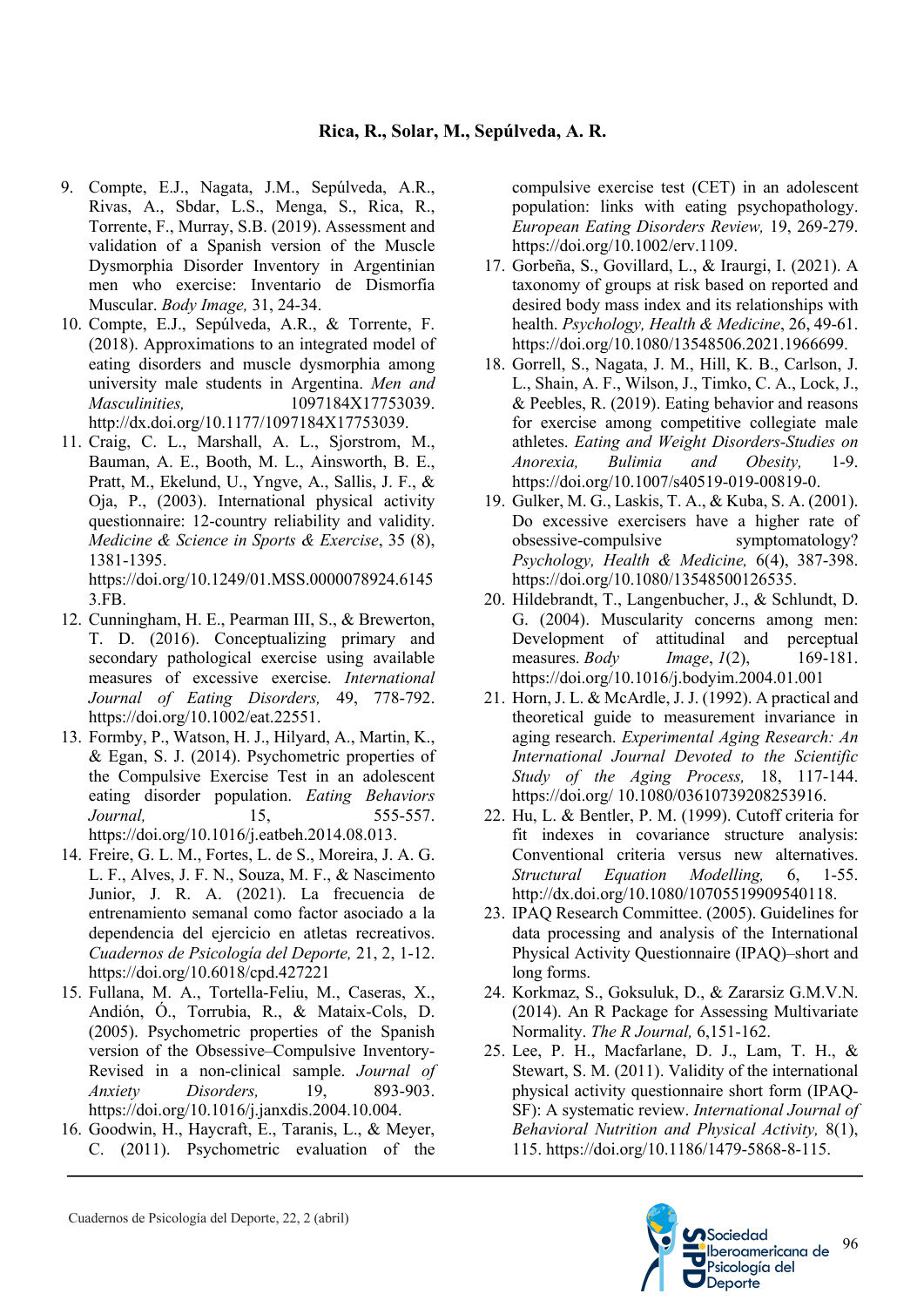- 9. Compte, E.J., Nagata, J.M., Sepúlveda, A.R., Rivas, A., Sbdar, L.S., Menga, S., Rica, R., Torrente, F., Murray, S.B. (2019). Assessment and validation of a Spanish version of the Muscle Dysmorphia Disorder Inventory in Argentinian men who exercise: Inventario de Dismorfia Muscular. *Body Image,* 31, 24-34.
- 10. Compte, E.J., Sepúlveda, A.R., & Torrente, F. (2018). Approximations to an integrated model of eating disorders and muscle dysmorphia among university male students in Argentina. *Men and Masculinities,* 1097184X17753039. http://dx.doi.org/10.1177/1097184X17753039.
- 11. Craig, C. L., Marshall, A. L., Sjorstrom, M., Bauman, A. E., Booth, M. L., Ainsworth, B. E., Pratt, M., Ekelund, U., Yngve, A., Sallis, J. F., & Oja, P., (2003). International physical activity questionnaire: 12-country reliability and validity. *Medicine & Science in Sports & Exercise*, 35 (8), 1381-1395.

https://doi.org/10.1249/01.MSS.0000078924.6145 3.FB.

- 12. Cunningham, H. E., Pearman III, S., & Brewerton, T. D. (2016). Conceptualizing primary and secondary pathological exercise using available measures of excessive exercise. *International Journal of Eating Disorders,* 49, 778-792. https://doi.org/10.1002/eat.22551.
- 13. Formby, P., Watson, H. J., Hilyard, A., Martin, K., & Egan, S. J. (2014). Psychometric properties of the Compulsive Exercise Test in an adolescent eating disorder population. *Eating Behaviors Journal,* 15, 555-557. https://doi.org/10.1016/j.eatbeh.2014.08.013.
- 14. Freire, G. L. M., Fortes, L. de S., Moreira, J. A. G. L. F., Alves, J. F. N., Souza, M. F., & Nascimento Junior, J. R. A. (2021). La frecuencia de entrenamiento semanal como factor asociado a la dependencia del ejercicio en atletas recreativos. *Cuadernos de Psicología del Deporte,* 21, 2, 1-12. https://doi.org/10.6018/cpd.427221
- 15. Fullana, M. A., Tortella-Feliu, M., Caseras, X., Andión, Ó., Torrubia, R., & Mataix-Cols, D. (2005). Psychometric properties of the Spanish version of the Obsessive–Compulsive Inventory-Revised in a non-clinical sample. *Journal of Anxiety Disorders,* 19, 893-903. https://doi.org/10.1016/j.janxdis.2004.10.004.
- 16. Goodwin, H., Haycraft, E., Taranis, L., & Meyer, C. (2011). Psychometric evaluation of the

compulsive exercise test (CET) in an adolescent population: links with eating psychopathology. *European Eating Disorders Review,* 19, 269-279. https://doi.org/10.1002/erv.1109.

- 17. Gorbeña, S., Govillard, L., & Iraurgi, I. (2021). A taxonomy of groups at risk based on reported and desired body mass index and its relationships with health. *Psychology, Health & Medicine*, 26, 49-61. https://doi.org/10.1080/13548506.2021.1966699.
- 18. Gorrell, S., Nagata, J. M., Hill, K. B., Carlson, J. L., Shain, A. F., Wilson, J., Timko, C. A., Lock, J., & Peebles, R. (2019). Eating behavior and reasons for exercise among competitive collegiate male athletes. *Eating and Weight Disorders-Studies on Anorexia, Bulimia and Obesity,* 1-9. https://doi.org/10.1007/s40519-019-00819-0.
- 19. Gulker, M. G., Laskis, T. A., & Kuba, S. A. (2001). Do excessive exercisers have a higher rate of obsessive-compulsive symptomatology? *Psychology, Health & Medicine,* 6(4), 387-398. https://doi.org/10.1080/13548500126535.
- 20. Hildebrandt, T., Langenbucher, J., & Schlundt, D. G. (2004). Muscularity concerns among men: Development of attitudinal and perceptual measures. *Body Image*, *1*(2), 169-181. https://doi.org/10.1016/j.bodyim.2004.01.001
- 21. Horn, J. L. & McArdle, J. J. (1992). A practical and theoretical guide to measurement invariance in aging research. *Experimental Aging Research: An International Journal Devoted to the Scientific Study of the Aging Process,* 18, 117-144. https://doi.org/ 10.1080/03610739208253916.
- 22. Hu, L. & Bentler, P. M. (1999). Cutoff criteria for fit indexes in covariance structure analysis: Conventional criteria versus new alternatives. *Structural Equation Modelling,* 6, 1-55. http://dx.doi.org/10.1080/10705519909540118.
- 23. IPAQ Research Committee. (2005). Guidelines for data processing and analysis of the International Physical Activity Questionnaire (IPAQ)–short and long forms.
- 24. Korkmaz, S., Goksuluk, D., & Zararsiz G.M.V.N. (2014). An R Package for Assessing Multivariate Normality. *The R Journal,* 6,151-162.
- 25. Lee, P. H., Macfarlane, D. J., Lam, T. H., & Stewart, S. M. (2011). Validity of the international physical activity questionnaire short form (IPAQ-SF): A systematic review. *International Journal of Behavioral Nutrition and Physical Activity,* 8(1), 115. https://doi.org/10.1186/1479-5868-8-115.

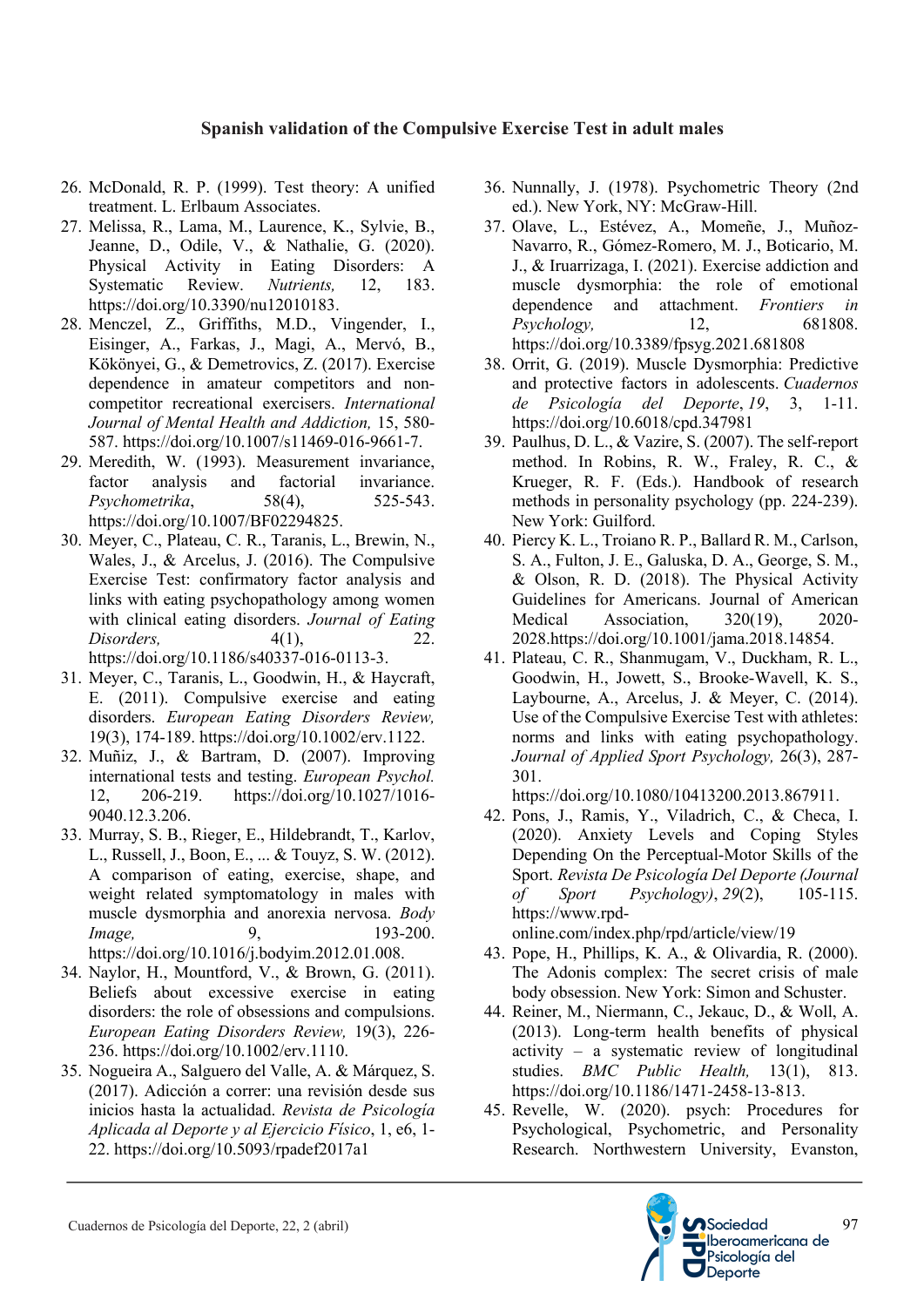- 26. McDonald, R. P. (1999). Test theory: A unified treatment. L. Erlbaum Associates.
- 27. Melissa, R., Lama, M., Laurence, K., Sylvie, B., Jeanne, D., Odile, V., & Nathalie, G. (2020). Physical Activity in Eating Disorders: A Systematic Review. *Nutrients,* 12, 183. https://doi.org/10.3390/nu12010183.
- 28. Menczel, Z., Griffiths, M.D., Vingender, I., Eisinger, A., Farkas, J., Magi, A., Mervó, B., Kökönyei, G., & Demetrovics, Z. (2017). Exercise dependence in amateur competitors and noncompetitor recreational exercisers. *International Journal of Mental Health and Addiction,* 15, 580- 587. https://doi.org/10.1007/s11469-016-9661-7.
- 29. Meredith, W. (1993). Measurement invariance, factor analysis and factorial invariance. *Psychometrika*, 58(4), 525-543. https://doi.org/10.1007/BF02294825.
- 30. Meyer, C., Plateau, C. R., Taranis, L., Brewin, N., Wales, J., & Arcelus, J. (2016). The Compulsive Exercise Test: confirmatory factor analysis and links with eating psychopathology among women with clinical eating disorders. *Journal of Eating Disorders,* 4(1), 22. https://doi.org/10.1186/s40337-016-0113-3.
- 31. Meyer, C., Taranis, L., Goodwin, H., & Haycraft, E. (2011). Compulsive exercise and eating disorders. *European Eating Disorders Review,* 19(3), 174-189. https://doi.org/10.1002/erv.1122.
- 32. Muñiz, J., & Bartram, D. (2007). Improving international tests and testing. *European Psychol.*  12, 206-219. https://doi.org/10.1027/1016- 9040.12.3.206.
- 33. Murray, S. B., Rieger, E., Hildebrandt, T., Karlov, L., Russell, J., Boon, E., ... & Touyz, S. W. (2012). A comparison of eating, exercise, shape, and weight related symptomatology in males with muscle dysmorphia and anorexia nervosa. *Body Image.* 9, 193-200. https://doi.org/10.1016/j.bodyim.2012.01.008.
- 34. Naylor, H., Mountford, V., & Brown, G. (2011). Beliefs about excessive exercise in eating disorders: the role of obsessions and compulsions. *European Eating Disorders Review,* 19(3), 226- 236. https://doi.org/10.1002/erv.1110.
- 35. Nogueira A., Salguero del Valle, A. & Márquez, S. (2017). Adicción a correr: una revisión desde sus inicios hasta la actualidad. *Revista de Psicología Aplicada al Deporte y al Ejercicio Físico*, 1, e6, 1- 22. https://doi.org/10.5093/rpadef2017a1
- 36. Nunnally, J. (1978). Psychometric Theory (2nd ed.). New York, NY: McGraw-Hill.
- 37. Olave, L., Estévez, A., Momeñe, J., Muñoz-Navarro, R., Gómez-Romero, M. J., Boticario, M. J., & Iruarrizaga, I. (2021). Exercise addiction and muscle dysmorphia: the role of emotional dependence and attachment. *Frontiers in Psychology,* 12, 681808. https://doi.org/10.3389/fpsyg.2021.681808
- 38. Orrit, G. (2019). Muscle Dysmorphia: Predictive and protective factors in adolescents. *Cuadernos de Psicología del Deporte*, *19*, 3, 1-11. https://doi.org/10.6018/cpd.347981
- 39. Paulhus, D. L., & Vazire, S. (2007). The self-report method. In Robins, R. W., Fraley, R. C., & Krueger, R. F. (Eds.). Handbook of research methods in personality psychology (pp. 224-239). New York: Guilford.
- 40. Piercy K. L., Troiano R. P., Ballard R. M., Carlson, S. A., Fulton, J. E., Galuska, D. A., George, S. M., & Olson, R. D. (2018). The Physical Activity Guidelines for Americans. Journal of American Medical Association, 320(19), 2020- 2028.https://doi.org/10.1001/jama.2018.14854.
- 41. Plateau, C. R., Shanmugam, V., Duckham, R. L., Goodwin, H., Jowett, S., Brooke-Wavell, K. S., Laybourne, A., Arcelus, J. & Meyer, C. (2014). Use of the Compulsive Exercise Test with athletes: norms and links with eating psychopathology. *Journal of Applied Sport Psychology,* 26(3), 287- 301.

https://doi.org/10.1080/10413200.2013.867911.

42. Pons, J., Ramis, Y., Viladrich, C., & Checa, I. (2020). Anxiety Levels and Coping Styles Depending On the Perceptual-Motor Skills of the Sport. *Revista De Psicología Del Deporte (Journal of Sport Psychology)*, *29*(2), 105-115. https://www.rpd-

online.com/index.php/rpd/article/view/19 43. Pope, H., Phillips, K. A., & Olivardia, R. (2000).

- The Adonis complex: The secret crisis of male body obsession. New York: Simon and Schuster.
- 44. Reiner, M., Niermann, C., Jekauc, D., & Woll, A. (2013). Long-term health benefits of physical activity – a systematic review of longitudinal studies. *BMC Public Health,* 13(1), 813. https://doi.org/10.1186/1471-2458-13-813.
- 45. Revelle, W. (2020). psych: Procedures for Psychological, Psychometric, and Personality Research. Northwestern University, Evanston,